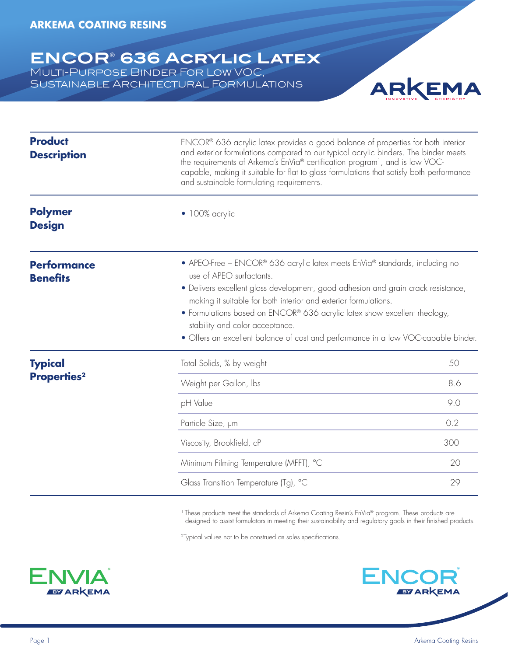#### **ENCOR® 636 Acrylic Latex** Multi-Purpose Binder For Low VOC, Sustainable Architectural Formulations



| <b>Product</b><br><b>Description</b>  | ENCOR <sup>®</sup> 636 acrylic latex provides a good balance of properties for both interior<br>and exterior formulations compared to our typical acrylic binders. The binder meets<br>the requirements of Arkema's EnVia® certification program <sup>1</sup> , and is low VOC-<br>capable, making it suitable for flat to gloss formulations that satisfy both performance<br>and sustainable formulating requirements.                                              |     |
|---------------------------------------|-----------------------------------------------------------------------------------------------------------------------------------------------------------------------------------------------------------------------------------------------------------------------------------------------------------------------------------------------------------------------------------------------------------------------------------------------------------------------|-----|
| <b>Polymer</b><br><b>Design</b>       | · 100% acrylic                                                                                                                                                                                                                                                                                                                                                                                                                                                        |     |
| <b>Performance</b><br><b>Benefits</b> | • APEO-Free - ENCOR® 636 acrylic latex meets EnVia® standards, including no<br>use of APEO surfactants.<br>· Delivers excellent gloss development, good adhesion and grain crack resistance,<br>making it suitable for both interior and exterior formulations.<br>• Formulations based on ENCOR® 636 acrylic latex show excellent rheology,<br>stability and color acceptance.<br>· Offers an excellent balance of cost and performance in a low VOC-capable binder. |     |
| <b>Typical</b>                        | Total Solids, % by weight                                                                                                                                                                                                                                                                                                                                                                                                                                             | 50  |
| <b>Properties<sup>2</sup></b>         | Weight per Gallon, Ibs                                                                                                                                                                                                                                                                                                                                                                                                                                                | 8.6 |
|                                       | pH Value                                                                                                                                                                                                                                                                                                                                                                                                                                                              | 9.0 |
|                                       | Particle Size, µm                                                                                                                                                                                                                                                                                                                                                                                                                                                     | 0.2 |
|                                       | Viscosity, Brookfield, cP                                                                                                                                                                                                                                                                                                                                                                                                                                             | 300 |
|                                       | Minimum Filming Temperature (MFFT), °C                                                                                                                                                                                                                                                                                                                                                                                                                                | 20  |
|                                       | Glass Transition Temperature (Tg), °C                                                                                                                                                                                                                                                                                                                                                                                                                                 | 29  |

<sup>1</sup> These products meet the standards of Arkema Coating Resin's EnVia® program. These products are designed to assist formulators in meeting their sustainability and regulatory goals in their finished products.

<sup>2</sup>Typical values not to be construed as sales specifications.



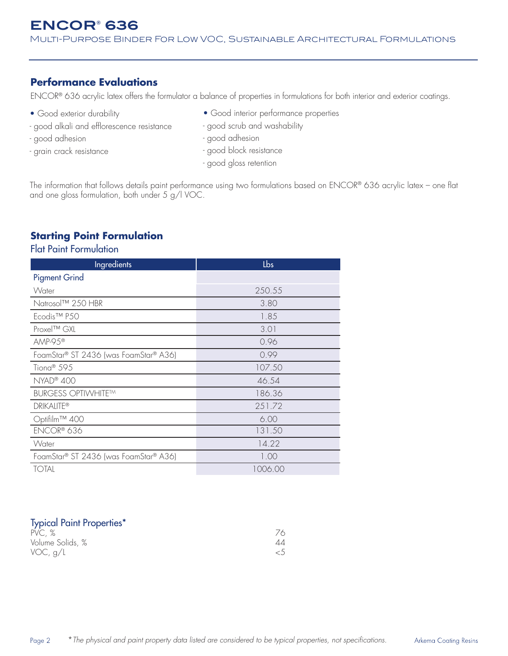### **Performance Evaluations**

ENCOR® 636 acrylic latex offers the formulator a balance of properties in formulations for both interior and exterior coatings.

- Good exterior durability
- good alkali and efflorescence resistance
- good adhesion
- grain crack resistance
- Good interior performance properties
- good scrub and washability
- good adhesion
- good block resistance
- good gloss retention

The information that follows details paint performance using two formulations based on ENCOR® 636 acrylic latex - one flat and one gloss formulation, both under 5 g/l VOC.

### **Starting Point Formulation**

#### Flat Paint Formulation

| Ingredients                           | Lbs     |
|---------------------------------------|---------|
| <b>Pigment Grind</b>                  |         |
| Water                                 | 250.55  |
| Natrosol™ 250 HBR                     | 3.80    |
| Ecodis <sup>™</sup> P50               | 1.85    |
| Proxel™ GXL                           | 3.01    |
| AMP-95 <sup>®</sup>                   | 0.96    |
| FoamStar® ST 2436 (was FoamStar® A36) | 0.99    |
| Tiona <sup>®</sup> 595                | 107.50  |
| NYAD® 400                             | 46.54   |
| <b>BURGESS OPTIWHITE™</b>             | 186.36  |
| <b>DRIKALITE®</b>                     | 251.72  |
| Optifilm™ 400                         | 6.00    |
| ENCOR® 636                            | 131.50  |
| Water                                 | 14.22   |
| FoamStar® ST 2436 (was FoamStar® A36) | 1.00    |
| <b>TOTAL</b>                          | 1006.00 |

#### Typical Paint Properties\*

| .<br>PVC, %      |  |
|------------------|--|
| Volume Solids, % |  |
| VOC, $g/L$       |  |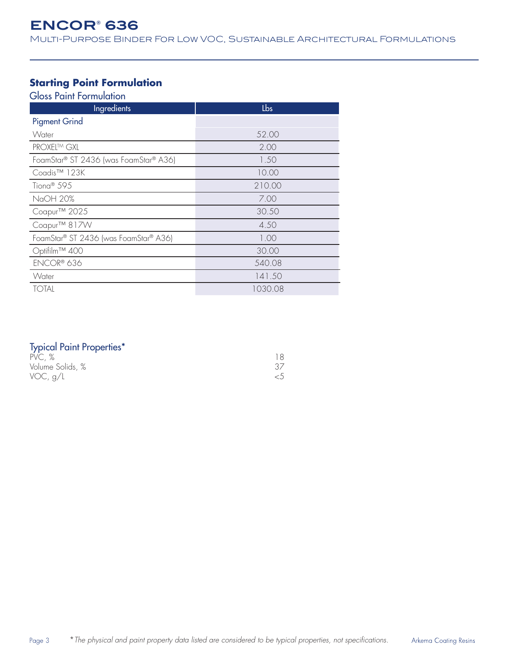Multi-Purpose Binder For Low VOC, Sustainable Architectural Formulations

#### **Starting Point Formulation**

Gloss Paint Formulation

| Ingredients                           | Lbs     |
|---------------------------------------|---------|
| <b>Pigment Grind</b>                  |         |
| Water                                 | 52.00   |
| PROXEL™ GXL                           | 2.00    |
| FoamStar® ST 2436 (was FoamStar® A36) | 1.50    |
| Coadis <sup>™</sup> 123K              | 10.00   |
| Tiona <sup>®</sup> 595                | 210.00  |
| NaOH 20%                              | 7.00    |
| Coapur™ 2025                          | 30.50   |
| Coapur <sup>™</sup> 817W              | 4.50    |
| FoamStar® ST 2436 (was FoamStar® A36) | 1.00    |
| Optifilm™ 400                         | 30.00   |
| ENCOR® 636                            | 540.08  |
| Water                                 | 141.50  |
| <b>TOTAL</b>                          | 1030.08 |

| <b>Typical Paint Properties*</b> |  |  |  |  |
|----------------------------------|--|--|--|--|
|----------------------------------|--|--|--|--|

| .<br>PVC, %      |  |
|------------------|--|
| Volume Solids, % |  |
| VOC, $g/L$       |  |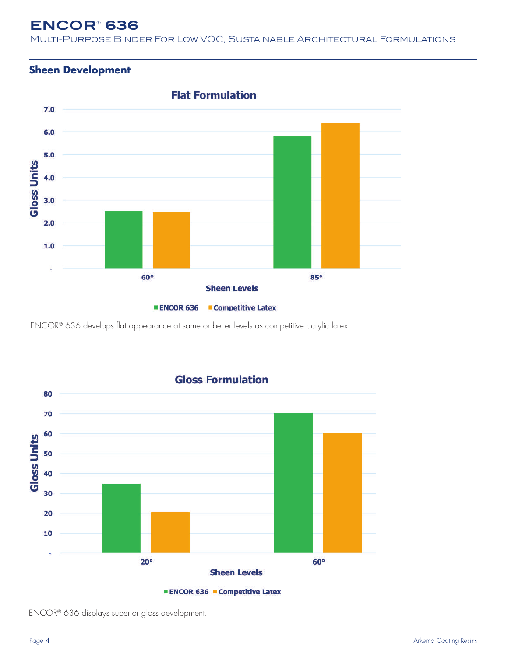Multi-Purpose Binder For Low VOC, Sustainable Architectural Formulations

### **Sheen Development**



ENCOR® 636 develops flat appearance at same or better levels as competitive acrylic latex.



**Gloss Formulation** 

ENCOR® 636 displays superior gloss development.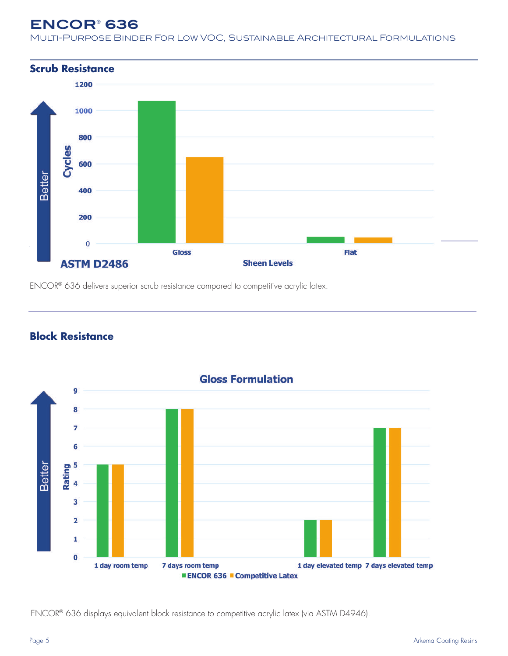Multi-Purpose Binder For Low VOC, Sustainable Architectural Formulations



ENCOR® 636 delivers superior scrub resistance compared to competitive acrylic latex.



### **Block Resistance**

ENCOR® 636 displays equivalent block resistance to competitive acrylic latex (via ASTM D4946).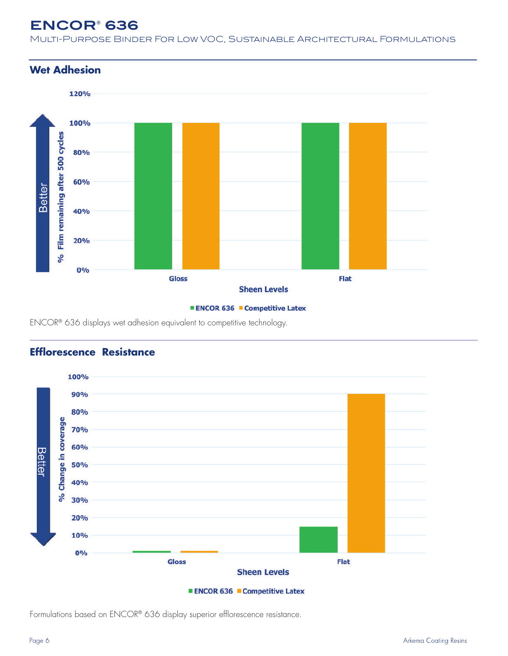Multi-Purpose Binder For Low VOC, Sustainable Architectural Formulations

#### **Wet Adhesion**





ENCOR® 636 displays wet adhesion equivalent to competitive technology.



#### **Efflorescence Resistance**

**ENCOR 636 Competitive Latex** 

Formulations based on ENCOR® 636 display superior efflorescence resistance.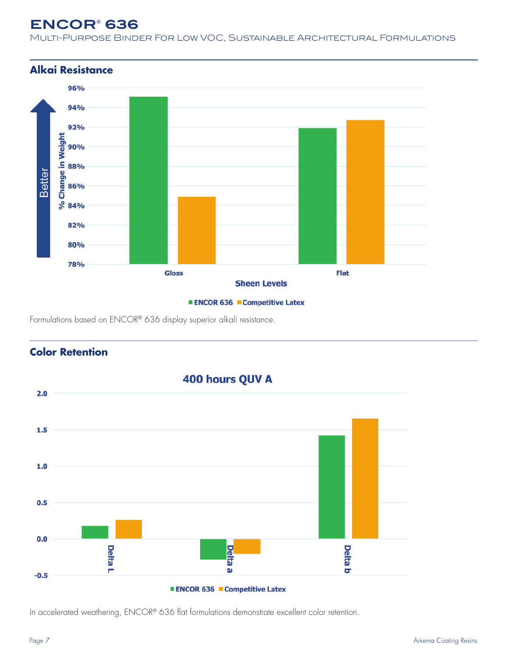Multi-Purpose Binder For Low VOC, Sustainable Architectural Formulations





Formulations based on ENCOR® 636 display superior alkali resistance.



### **Color Retention**

In accelerated weathering, ENCOR® 636 flat formulations demonstrate excellent color retention.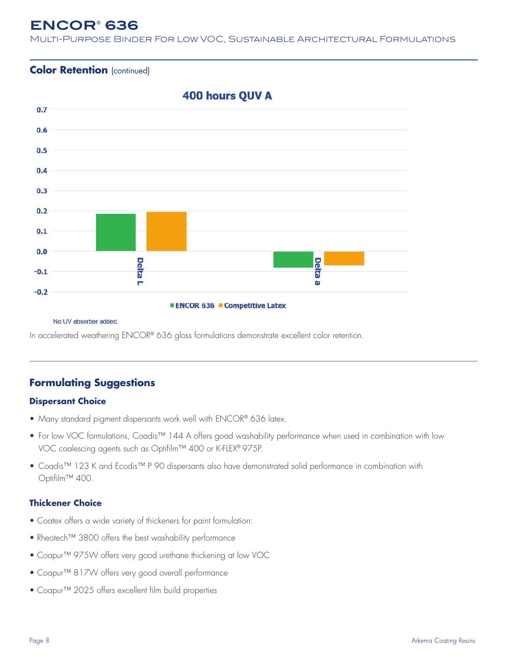Multi-Purpose Binder For Low VOC, Sustainable Architectural Formulations

#### **Color Retention** (continued)



#### No UV absorber added.

In accelerated weathering ENCOR® 636 gloss formulations demonstrate excellent color retention.

#### **Formulating Suggestions**

#### **Dispersant Choice**

- Many standard pigment dispersants work well with ENCOR® 636 latex.
- For low VOC formulations, Coadis<sup>™</sup> 144 A offers good washability performance when used in combination with low VOC coalescing agents such as Optifilm™ 400 or K-FLEX® 975P.
- Coadis™ 123 K and Ecodis™ P 90 dispersants also have demonstrated solid performance in combination with Optifilm™ 400.

#### **Thickener Choice**

- Coatex offers a wide variety of thickeners for paint formulation:
- Rheotech™ 3800 offers the best washability performance
- Coapur™ 975W offers very good urethane thickening at low VOC
- Coapur™ 817W offers very good overall performance
- Coapur™ 2025 offers excellent film build properties